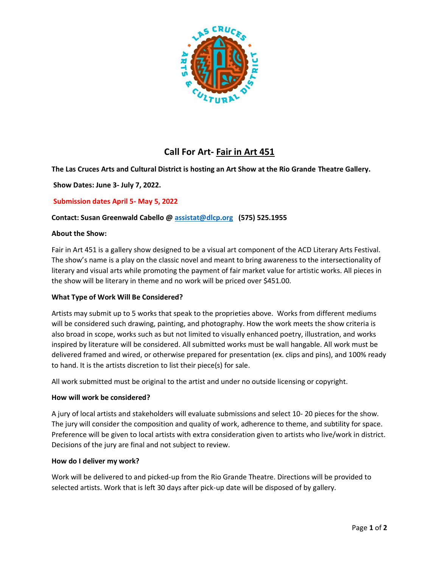

# **Call For Art- Fair in Art 451**

# **The Las Cruces Arts and Cultural District is hosting an Art Show at the Rio Grande Theatre Gallery.**

**Show Dates: June 3- July 7, 2022.**

# **Submission dates April 5- May 5, 2022**

# **Contact: Susan Greenwald Cabello [@ assistat@dlcp.org](mailto:assistat@dlcp.org) (575) 525.1955**

#### **About the Show:**

Fair in Art 451 is a gallery show designed to be a visual art component of the ACD Literary Arts Festival. The show's name is a play on the classic novel and meant to bring awareness to the intersectionality of literary and visual arts while promoting the payment of fair market value for artistic works. All pieces in the show will be literary in theme and no work will be priced over \$451.00.

# **What Type of Work Will Be Considered?**

Artists may submit up to 5 works that speak to the proprieties above. Works from different mediums will be considered such drawing, painting, and photography. How the work meets the show criteria is also broad in scope, works such as but not limited to visually enhanced poetry, illustration, and works inspired by literature will be considered. All submitted works must be wall hangable. All work must be delivered framed and wired, or otherwise prepared for presentation (ex. clips and pins), and 100% ready to hand. It is the artists discretion to list their piece(s) for sale.

All work submitted must be original to the artist and under no outside licensing or copyright.

#### **How will work be considered?**

A jury of local artists and stakeholders will evaluate submissions and select 10- 20 pieces for the show. The jury will consider the composition and quality of work, adherence to theme, and subtility for space. Preference will be given to local artists with extra consideration given to artists who live/work in district. Decisions of the jury are final and not subject to review.

#### **How do I deliver my work?**

Work will be delivered to and picked-up from the Rio Grande Theatre. Directions will be provided to selected artists. Work that is left 30 days after pick-up date will be disposed of by gallery.